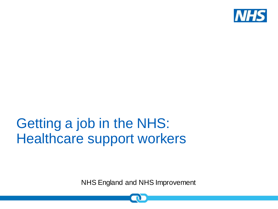

### Getting a job in the NHS: Healthcare support workers

NHS England and NHS Improvement

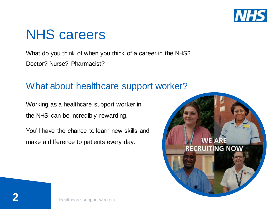

### NHS careers

What do you think of when you think of a career in the NHS? Doctor? Nurse? Pharmacist?

### What about healthcare support worker?

Working as a healthcare support worker in the NHS can be incredibly rewarding.

You'll have the chance to learn new skills and make a difference to patients every day.

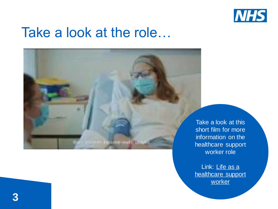

### Take a look at the role…

Take a look at this short film for more information on the healthcare support worker role

Link: Life as a [healthcare support](https://www.youtube.com/embed/Le2WgrTrJ4k?feature=oembed&enablejsapi=1&fs=0)  worker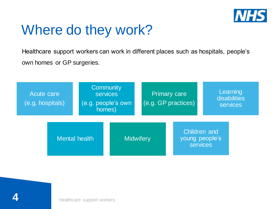

## Where do they work?

Healthcare support workers can work in different places such as hospitals, people's own homes or GP surgeries.



 $\mathbf{4}$ **4**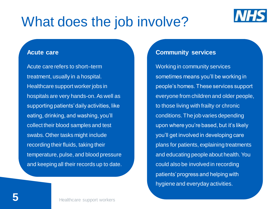

#### **Acute care**

Acute care refers to short–term treatment, usually in a hospital. Healthcare support worker jobs in hospitals are very hands-on. As well as supporting patients' daily activities, like eating, drinking, and washing, you'll collect their blood samples and test swabs. Other tasks might include recording their fluids, taking their temperature, pulse, and blood pressure and keeping all their records up to date.

#### **Community services**

Working in community services sometimes means you'll be working in people's homes. These services support everyone from children and older people, to those living with frailty or chronic conditions. The job varies depending upon where you're based, but it's likely you'll get involved in developing care plans for patients, explaining treatments and educating people about health. You could also be involved in recording patients' progress and helping with hygiene and everyday activities.

 $\mathbf{J}$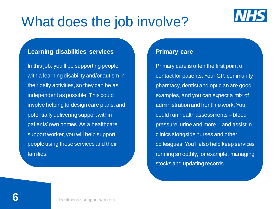

#### **Learning disabilities services**

In this job, you'll be supporting people with a learning disability and/or autism in their daily activities, so they can be as independent as possible. This could involve helping to design care plans, and potentially delivering support within patients' own homes. As a healthcare support worker, you will help support people using these services and their families.

#### **Primary care**

Primary care is often the first point of contact for patients. Your GP, community pharmacy, dentist and optician are good examples, and you can expect a mix of administration and frontline work. You could run health assessments – blood pressure, urine and more – and assist in clinics alongside nurses and other colleagues. You'll also help keep services running smoothly, for example, managing stocks and updating records.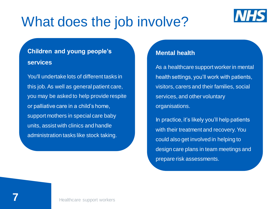

### **Children and young people's services**

You'll undertake lots of different tasks in this job. As well as general patient care, you may be asked to help provide respite or palliative care in a child's home, support mothers in special care baby units, assist with clinics and handle administration tasks like stock taking.

#### **Mental health**

As a healthcare support worker in mental health settings, you'll work with patients, visitors, carers and their families, social services, and other voluntary organisations.

In practice, it's likely you'll help patients with their treatment and recovery. You could also get involved in helping to design care plans in team meetings and prepare risk assessments.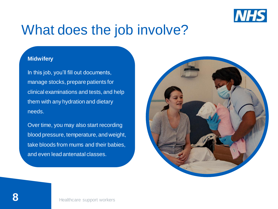

#### **Midwifery**

In this job, you'll fill out documents, manage stocks, prepare patients for clinical examinations and tests, and help them with any hydration and dietary needs.

Over time, you may also start recording blood pressure, temperature, and weight, take bloods from mums and their babies, and even lead antenatal classes.

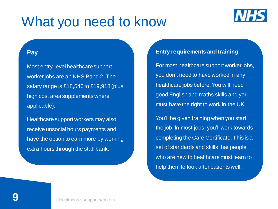### What you need to know



#### **Pay**

Most entry-level healthcare support worker jobs are an NHS Band 2. The salary range is £18,546 to £19,918 (plus high cost area supplements where applicable).

Healthcare support workers may also receive unsocial hours payments and have the option to earn more by working extra hours through the staff bank.

#### **Entry requirements and training**

For most healthcare support worker jobs, you don't need to have worked in any healthcare jobs before. You will need good English and maths skills and you must have the right to work in the UK.

You'll be given training when you start the job. In most jobs, you'll work towards completing the Care Certificate. This is a set of standards and skills that people who are new to healthcare must learn to help them to look after patients well.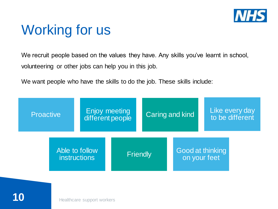

### Working for us

We recruit people based on the values they have. Any skills you've learnt in school, volunteering or other jobs can help you in this job.

We want people who have the skills to do the job. These skills include:

| <b>Proactive</b>                      | Enjoy meeting<br>different people |                 | Caring and kind |                                  | Like every day<br>to be different |
|---------------------------------------|-----------------------------------|-----------------|-----------------|----------------------------------|-----------------------------------|
| Able to follow<br><b>instructions</b> |                                   | <b>Friendly</b> |                 | Good at thinking<br>on your feet |                                   |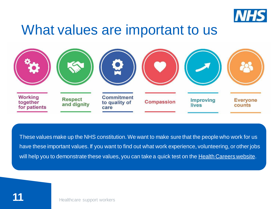

### What values are important to us



These values make up the NHS constitution. We want to make sure that the people who work for us have these important values. If you want to find out what work experience, volunteering, or other jobs will help you to demonstrate these values, you can take a quick test on the [Health Careers website.](http://www.healthcareers.nhs.uk/working-health/working-nhs/nhs-constitution)

Healthcare support workers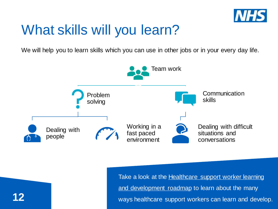

### What skills will you learn?

We will help you to learn skills which you can use in other jobs or in your every day life.



Take a look at the **Healthcare support worker learning** and development roadmap to learn about the many ways healthcare support workers can learn and develop.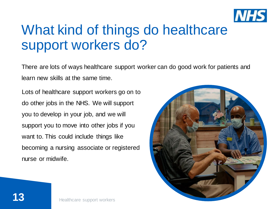

### What kind of things do healthcare support workers do?

There are lots of ways healthcare support worker can do good work for patients and learn new skills at the same time.

Lots of healthcare support workers go on to do other jobs in the NHS. We will support you to develop in your job, and we will support you to move into other jobs if you want to. This could include things like becoming a nursing associate or registered nurse or midwife.

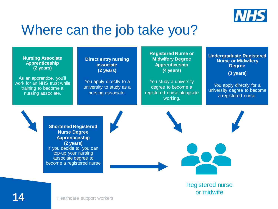

### Where can the job take you?

**Nursing Associate Apprenticeship (2 years)** 

As an apprentice, you'll work for an NHS trust while training to become a nursing associate.

**Direct entry nursing associate (2 years)** 

You apply directly to a university to study as a nursing associate.

**Registered Nurse or Midwifery Degree Apprenticeship (4 years)** 

You study a university degree to become a registered nurse alongside working.

**Undergraduate Registered Nurse or Midwifery Degree**

**(3 years)** 

You apply directly for a university degree to become a registered nurse.

**Shortened Registered Nurse Degree Apprenticeship (2 years)** If you decide to, you can top-up your nursing associate degree to become a registered nurse





Registered nurse or midwife

Healthcare support workers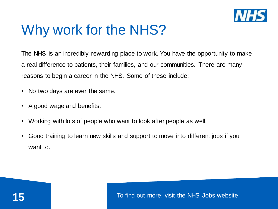

# Why work for the NHS?

The NHS is an incredibly rewarding place to work. You have the opportunity to make a real difference to patients, their families, and our communities. There are many reasons to begin a career in the NHS. Some of these include:

- No two days are ever the same.
- A good wage and benefits.
- Working with lots of people who want to look after people as well.
- Good training to learn new skills and support to move into different jobs if you want to.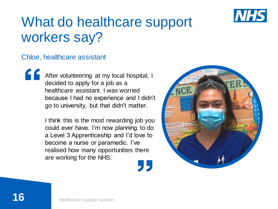

# What do healthcare support workers say?

#### Chloe, healthcare assistant

After volunteering at my local hospital, I decided to apply for a job as a healthcare assistant. I was worried because I had no experience and I didn't go to university, but that didn't matter.

I think this is the most rewarding job you could ever have. I'm now planning to do a Level 3 Apprenticeship and I'd love to become a nurse or paramedic. I've realised how many opportunities there are working for the NHS.

95

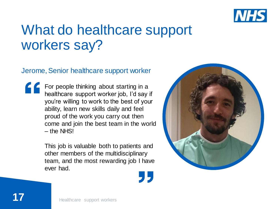

### What do healthcare support workers say?

#### Jerome, Senior healthcare support worker

For people thinking about starting in a healthcare support worker job, I'd say if you're willing to work to the best of your ability, learn new skills daily and feel proud of the work you carry out then come and join the best team in the world – the NHS!

> This job is valuable both to patients and other members of the multidisciplinary team, and the most rewarding job I have ever had.

> > "